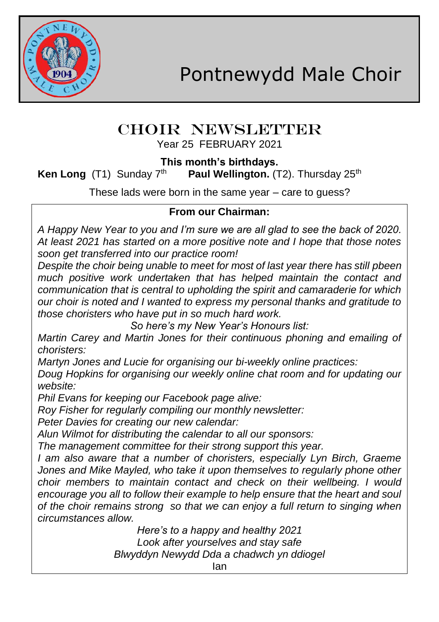

## CHOIR NEWSLETTER Year 25 FEBRUARY 2021

**This month's birthdays.**

**Ken Long** (T1) Sunday 7<sup>th</sup> **Paul Wellington.** (T2). Thursday 25<sup>th</sup>

These lads were born in the same year – care to guess?

## **From our Chairman:**

*A Happy New Year to you and I'm sure we are all glad to see the back of 2020. At least 2021 has started on a more positive note and I hope that those notes soon get transferred into our practice room!*

*Despite the choir being unable to meet for most of last year there has still pbeen much positive work undertaken that has helped maintain the contact and communication that is central to upholding the spirit and camaraderie for which our choir is noted and I wanted to express my personal thanks and gratitude to those choristers who have put in so much hard work.*

*So here's my New Year's Honours list:*

*Martin Carey and Martin Jones for their continuous phoning and emailing of choristers:*

*Martyn Jones and Lucie for organising our bi-weekly online practices:*

*Doug Hopkins for organising our weekly online chat room and for updating our website:*

*Phil Evans for keeping our Facebook page alive:*

*Roy Fisher for regularly compiling our monthly newsletter:*

*Peter Davies for creating our new calendar:*

*Alun Wilmot for distributing the calendar to all our sponsors:*

*The management committee for their strong support this year.*

*I am also aware that a number of choristers, especially Lyn Birch, Graeme*  Jones and Mike Mayled, who take it upon themselves to regularly phone other *choir members to maintain contact and check on their wellbeing. I would encourage you all to follow their example to help ensure that the heart and soul of the choir remains strong so that we can enjoy a full return to singing when circumstances allow.*

> *Here's to a happy and healthy 2021 Look after yourselves and stay safe Blwyddyn Newydd Dda a chadwch yn ddiogel*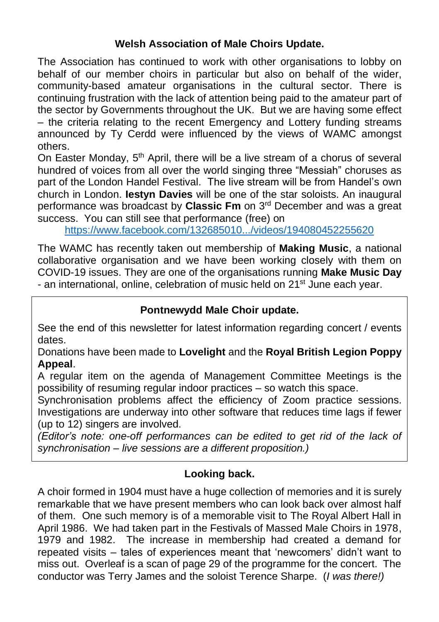## **Welsh Association of Male Choirs Update.**

The Association has continued to work with other organisations to lobby on behalf of our member choirs in particular but also on behalf of the wider, community-based amateur organisations in the cultural sector. There is continuing frustration with the lack of attention being paid to the amateur part of the sector by Governments throughout the UK. But we are having some effect – the criteria relating to the recent Emergency and Lottery funding streams announced by Ty Cerdd were influenced by the views of WAMC amongst others.

On Easter Monday,  $5<sup>th</sup>$  April, there will be a live stream of a chorus of several hundred of voices from all over the world singing three "Messiah" choruses as part of the London Handel Festival. The live stream will be from Handel's own church in London. **Iestyn Davies** will be one of the star soloists. An inaugural performance was broadcast by **Classic Fm** on 3rd December and was a great success. You can still see that performance (free) on

<https://www.facebook.com/132685010.../videos/194080452255620>

The WAMC has recently taken out membership of **Making Music**, a national collaborative organisation and we have been working closely with them on COVID-19 issues. They are one of the organisations running **Make Music Day** - an international, online, celebration of music held on 21<sup>st</sup> June each year.

## **Pontnewydd Male Choir update.**

See the end of this newsletter for latest information regarding concert / events dates.

Donations have been made to **Lovelight** and the **Royal British Legion Poppy Appeal**.

A regular item on the agenda of Management Committee Meetings is the possibility of resuming regular indoor practices – so watch this space.

Synchronisation problems affect the efficiency of Zoom practice sessions. Investigations are underway into other software that reduces time lags if fewer (up to 12) singers are involved.

*(Editor's note: one-off performances can be edited to get rid of the lack of synchronisation – live sessions are a different proposition.)*

#### **Looking back.**

A choir formed in 1904 must have a huge collection of memories and it is surely remarkable that we have present members who can look back over almost half of them. One such memory is of a memorable visit to The Royal Albert Hall in April 1986. We had taken part in the Festivals of Massed Male Choirs in 1978, 1979 and 1982. The increase in membership had created a demand for repeated visits – tales of experiences meant that 'newcomers' didn't want to miss out. Overleaf is a scan of page 29 of the programme for the concert. The conductor was Terry James and the soloist Terence Sharpe. (*I was there!)*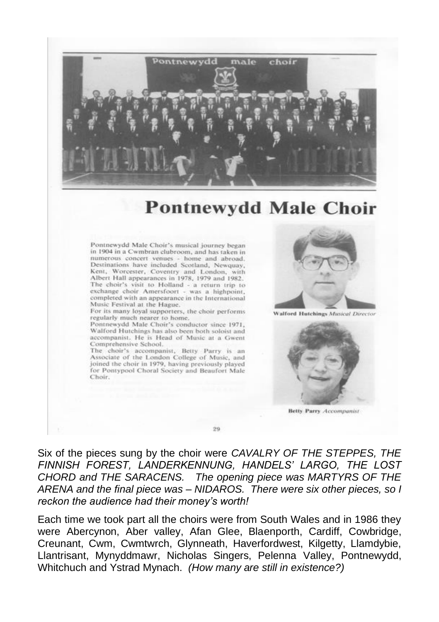

# **Pontnewydd Male Choir**

Pontnewydd Male Choir's musical journey began in 1904 in a Cwmbran clubroom, and has taken in numerous concert venues - home and abroad, Destinations have included Scotland, Newquay, Kent, Worcester, Coventry and London, with Albert Hall appearances in 1978, 1979 and 1982. The choir's visit to Holland - a return trip to exchange choir Amersfoort - was a highpoint, completed with an appearance in the International Music Festival at the Hague.

For its many loyal supporters, the choir performs regularly much nearer to home.

Pontnewydd Male Choir's conductor since 1971, Walford Hutchings has also been both soloist and accompanist. He is Head of Music at a Gwent Comprehensive School.

The choir's accompanist, Betty Parry is an Associate of the London College of Music, and joined the choir in 1979, having previously played for Pontypool Choral Society and Beaufort Male Choir.



**Walford Hutchines Musical Director** 



**Betty Parry Accompanist** 

Six of the pieces sung by the choir were CAVALRY OF THE STEPPES, THE FINNISH FOREST, LANDERKENNUNG, HANDELS' LARGO, THE LOST CHORD and THE SARACENS. The opening piece was MARTYRS OF THE ARENA and the final piece was - NIDAROS. There were six other pieces, so I reckon the audience had their money's worth!

 $99$ 

Each time we took part all the choirs were from South Wales and in 1986 they were Abercynon, Aber valley, Afan Glee, Blaenporth, Cardiff, Cowbridge, Creunant, Cwm, Cwmtwrch, Glynneath, Haverfordwest, Kilgetty, Llamdybie, Llantrisant, Mynyddmawr, Nicholas Singers, Pelenna Valley, Pontnewydd, Whitchuch and Ystrad Mynach. (How many are still in existence?)